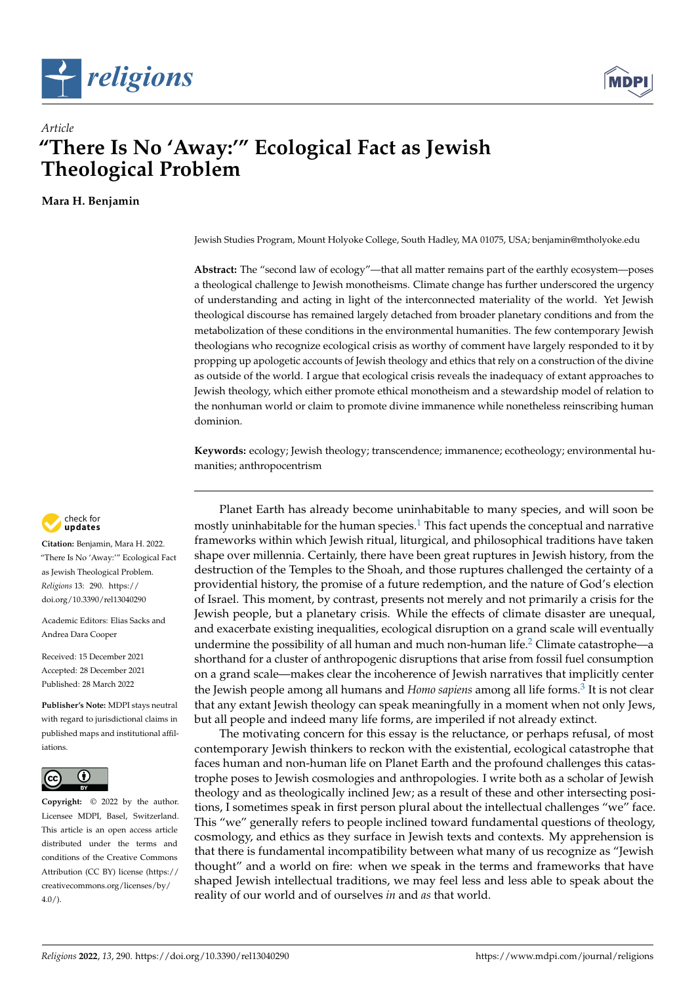



# *Article* **"There Is No 'Away:'" Ecological Fact as Jewish Theological Problem**

**Mara H. Benjamin**

Jewish Studies Program, Mount Holyoke College, South Hadley, MA 01075, USA; benjamin@mtholyoke.edu

**Abstract:** The "second law of ecology"—that all matter remains part of the earthly ecosystem—poses a theological challenge to Jewish monotheisms. Climate change has further underscored the urgency of understanding and acting in light of the interconnected materiality of the world. Yet Jewish theological discourse has remained largely detached from broader planetary conditions and from the metabolization of these conditions in the environmental humanities. The few contemporary Jewish theologians who recognize ecological crisis as worthy of comment have largely responded to it by propping up apologetic accounts of Jewish theology and ethics that rely on a construction of the divine as outside of the world. I argue that ecological crisis reveals the inadequacy of extant approaches to Jewish theology, which either promote ethical monotheism and a stewardship model of relation to the nonhuman world or claim to promote divine immanence while nonetheless reinscribing human dominion.

**Keywords:** ecology; Jewish theology; transcendence; immanence; ecotheology; environmental humanities; anthropocentrism

<span id="page-0-0"></span>Planet Earth has already become uninhabitable to many species, and will soon be mostly uninhabitable for the human species. $1$  This fact upends the conceptual and narrative frameworks within which Jewish ritual, liturgical, and philosophical traditions have taken shape over millennia. Certainly, there have been great ruptures in Jewish history, from the destruction of the Temples to the Shoah, and those ruptures challenged the certainty of a providential history, the promise of a future redemption, and the nature of God's election of Israel. This moment, by contrast, presents not merely and not primarily a crisis for the Jewish people, but a planetary crisis. While the effects of climate disaster are unequal, and exacerbate existing inequalities, ecological disruption on a grand scale will eventually undermine the possibility of all human and much non-human life.<sup>[2](#page-11-1)</sup> Climate catastrophe—a shorthand for a cluster of anthropogenic disruptions that arise from fossil fuel consumption on a grand scale—makes clear the incoherence of Jewish narratives that implicitly center the Jewish people among all humans and *Homo sapiens* among all life forms.<sup>[3](#page-11-2)</sup> It is not clear that any extant Jewish theology can speak meaningfully in a moment when not only Jews, but all people and indeed many life forms, are imperiled if not already extinct.

<span id="page-0-2"></span><span id="page-0-1"></span>The motivating concern for this essay is the reluctance, or perhaps refusal, of most contemporary Jewish thinkers to reckon with the existential, ecological catastrophe that faces human and non-human life on Planet Earth and the profound challenges this catastrophe poses to Jewish cosmologies and anthropologies. I write both as a scholar of Jewish theology and as theologically inclined Jew; as a result of these and other intersecting positions, I sometimes speak in first person plural about the intellectual challenges "we" face. This "we" generally refers to people inclined toward fundamental questions of theology, cosmology, and ethics as they surface in Jewish texts and contexts. My apprehension is that there is fundamental incompatibility between what many of us recognize as "Jewish thought" and a world on fire: when we speak in the terms and frameworks that have shaped Jewish intellectual traditions, we may feel less and less able to speak about the reality of our world and of ourselves *in* and *as* that world.



**Citation:** Benjamin, Mara H. 2022. "There Is No 'Away:'" Ecological Fact as Jewish Theological Problem. *Religions* 13: 290. [https://](https://doi.org/10.3390/rel13040290) [doi.org/10.3390/rel13040290](https://doi.org/10.3390/rel13040290)

Academic Editors: Elias Sacks and Andrea Dara Cooper

Received: 15 December 2021 Accepted: 28 December 2021 Published: 28 March 2022

**Publisher's Note:** MDPI stays neutral with regard to jurisdictional claims in published maps and institutional affiliations.



**Copyright:** © 2022 by the author. Licensee MDPI, Basel, Switzerland. This article is an open access article distributed under the terms and conditions of the Creative Commons Attribution (CC BY) license [\(https://](https://creativecommons.org/licenses/by/4.0/) [creativecommons.org/licenses/by/](https://creativecommons.org/licenses/by/4.0/)  $4.0/$ ).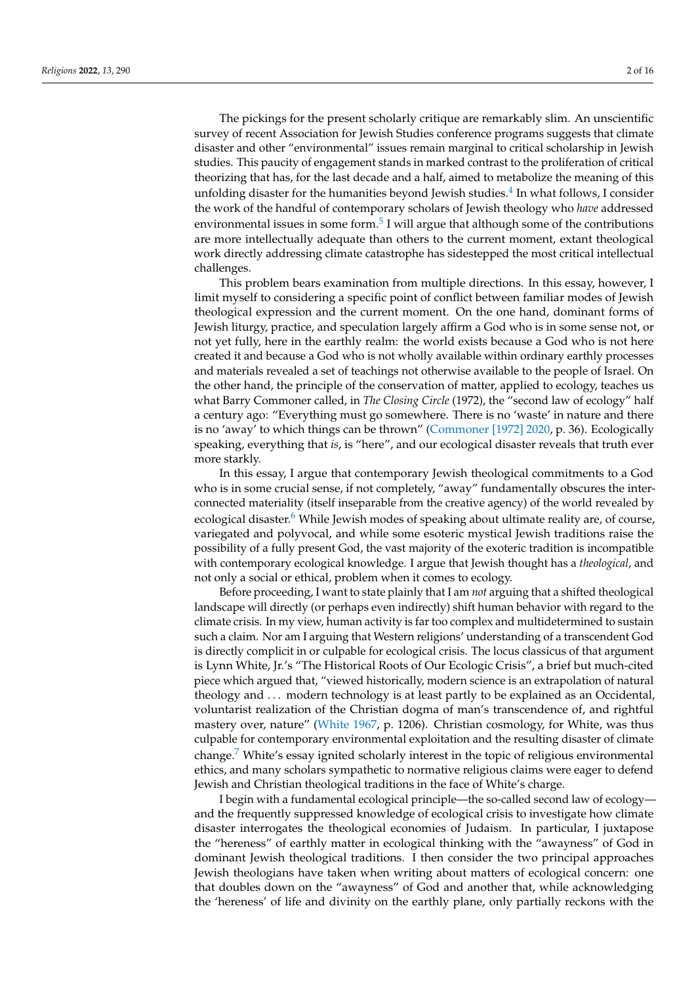<span id="page-1-0"></span>The pickings for the present scholarly critique are remarkably slim. An unscientific survey of recent Association for Jewish Studies conference programs suggests that climate disaster and other "environmental" issues remain marginal to critical scholarship in Jewish studies. This paucity of engagement stands in marked contrast to the proliferation of critical theorizing that has, for the last decade and a half, aimed to metabolize the meaning of this unfolding disaster for the humanities beyond Jewish studies.<sup>[4](#page-12-0)</sup> In what follows, I consider the work of the handful of contemporary scholars of Jewish theology who *have* addressed environmental issues in some form. $^5$  $^5$  I will argue that although some of the contributions are more intellectually adequate than others to the current moment, extant theological work directly addressing climate catastrophe has sidestepped the most critical intellectual challenges.

<span id="page-1-1"></span>This problem bears examination from multiple directions. In this essay, however, I limit myself to considering a specific point of conflict between familiar modes of Jewish theological expression and the current moment. On the one hand, dominant forms of Jewish liturgy, practice, and speculation largely affirm a God who is in some sense not, or not yet fully, here in the earthly realm: the world exists because a God who is not here created it and because a God who is not wholly available within ordinary earthly processes and materials revealed a set of teachings not otherwise available to the people of Israel. On the other hand, the principle of the conservation of matter, applied to ecology, teaches us what Barry Commoner called, in *The Closing Circle* (1972), the "second law of ecology" half a century ago: "Everything must go somewhere. There is no 'waste' in nature and there is no 'away' to which things can be thrown" [\(Commoner \[1972\]](#page-14-0) [2020,](#page-14-0) p. 36). Ecologically speaking, everything that *is*, is "here", and our ecological disaster reveals that truth ever more starkly.

<span id="page-1-2"></span>In this essay, I argue that contemporary Jewish theological commitments to a God who is in some crucial sense, if not completely, "away" fundamentally obscures the interconnected materiality (itself inseparable from the creative agency) of the world revealed by ecological disaster. $6$  While Jewish modes of speaking about ultimate reality are, of course, variegated and polyvocal, and while some esoteric mystical Jewish traditions raise the possibility of a fully present God, the vast majority of the exoteric tradition is incompatible with contemporary ecological knowledge. I argue that Jewish thought has a *theological*, and not only a social or ethical, problem when it comes to ecology.

Before proceeding, I want to state plainly that I am *not* arguing that a shifted theological landscape will directly (or perhaps even indirectly) shift human behavior with regard to the climate crisis. In my view, human activity is far too complex and multidetermined to sustain such a claim. Nor am I arguing that Western religions' understanding of a transcendent God is directly complicit in or culpable for ecological crisis. The locus classicus of that argument is Lynn White, Jr.'s "The Historical Roots of Our Ecologic Crisis", a brief but much-cited piece which argued that, "viewed historically, modern science is an extrapolation of natural theology and . . . modern technology is at least partly to be explained as an Occidental, voluntarist realization of the Christian dogma of man's transcendence of, and rightful mastery over, nature" [\(White](#page-15-0) [1967,](#page-15-0) p. 1206). Christian cosmology, for White, was thus culpable for contemporary environmental exploitation and the resulting disaster of climate change.[7](#page-12-3) White's essay ignited scholarly interest in the topic of religious environmental ethics, and many scholars sympathetic to normative religious claims were eager to defend Jewish and Christian theological traditions in the face of White's charge.

<span id="page-1-3"></span>I begin with a fundamental ecological principle—the so-called second law of ecology and the frequently suppressed knowledge of ecological crisis to investigate how climate disaster interrogates the theological economies of Judaism. In particular, I juxtapose the "hereness" of earthly matter in ecological thinking with the "awayness" of God in dominant Jewish theological traditions. I then consider the two principal approaches Jewish theologians have taken when writing about matters of ecological concern: one that doubles down on the "awayness" of God and another that, while acknowledging the 'hereness' of life and divinity on the earthly plane, only partially reckons with the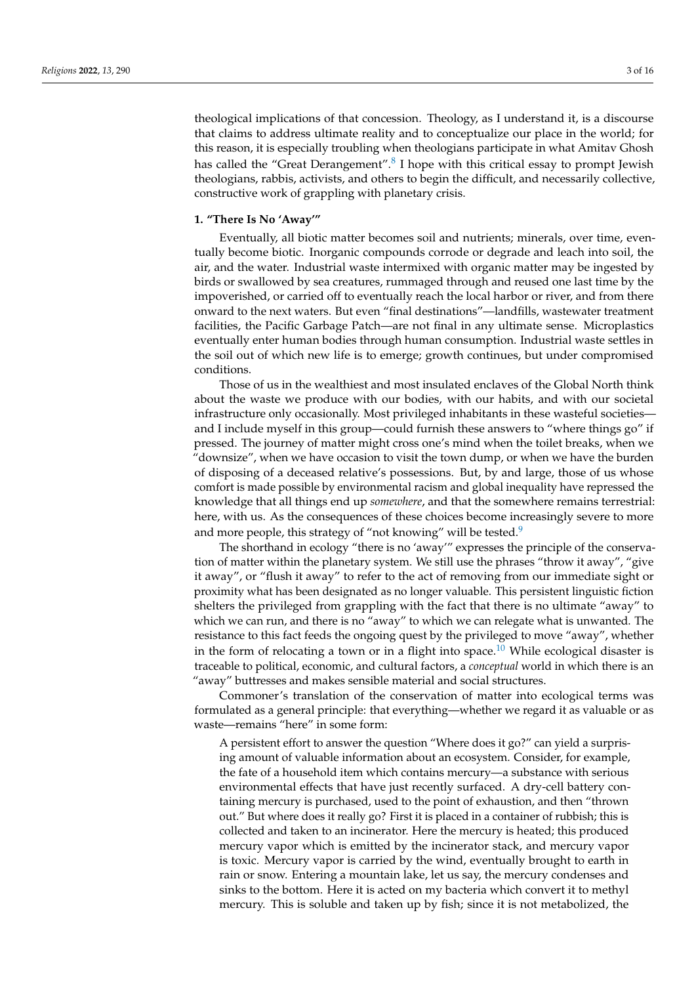<span id="page-2-0"></span>theological implications of that concession. Theology, as I understand it, is a discourse that claims to address ultimate reality and to conceptualize our place in the world; for this reason, it is especially troubling when theologians participate in what Amitav Ghosh has called the "Great Derangement".<sup>[8](#page-12-4)</sup> I hope with this critical essay to prompt Jewish theologians, rabbis, activists, and others to begin the difficult, and necessarily collective, constructive work of grappling with planetary crisis.

#### **1. "There Is No 'Away'"**

Eventually, all biotic matter becomes soil and nutrients; minerals, over time, eventually become biotic. Inorganic compounds corrode or degrade and leach into soil, the air, and the water. Industrial waste intermixed with organic matter may be ingested by birds or swallowed by sea creatures, rummaged through and reused one last time by the impoverished, or carried off to eventually reach the local harbor or river, and from there onward to the next waters. But even "final destinations"—landfills, wastewater treatment facilities, the Pacific Garbage Patch—are not final in any ultimate sense. Microplastics eventually enter human bodies through human consumption. Industrial waste settles in the soil out of which new life is to emerge; growth continues, but under compromised conditions.

Those of us in the wealthiest and most insulated enclaves of the Global North think about the waste we produce with our bodies, with our habits, and with our societal infrastructure only occasionally. Most privileged inhabitants in these wasteful societies and I include myself in this group—could furnish these answers to "where things go" if pressed. The journey of matter might cross one's mind when the toilet breaks, when we "downsize", when we have occasion to visit the town dump, or when we have the burden of disposing of a deceased relative's possessions. But, by and large, those of us whose comfort is made possible by environmental racism and global inequality have repressed the knowledge that all things end up *somewhere*, and that the somewhere remains terrestrial: here, with us. As the consequences of these choices become increasingly severe to more and more people, this strategy of "not knowing" will be tested.<sup>[9](#page-12-5)</sup>

<span id="page-2-1"></span>The shorthand in ecology "there is no 'away'" expresses the principle of the conservation of matter within the planetary system. We still use the phrases "throw it away", "give it away", or "flush it away" to refer to the act of removing from our immediate sight or proximity what has been designated as no longer valuable. This persistent linguistic fiction shelters the privileged from grappling with the fact that there is no ultimate "away" to which we can run, and there is no "away" to which we can relegate what is unwanted. The resistance to this fact feeds the ongoing quest by the privileged to move "away", whether in the form of relocating a town or in a flight into space.<sup>[10](#page-12-6)</sup> While ecological disaster is traceable to political, economic, and cultural factors, a *conceptual* world in which there is an "away" buttresses and makes sensible material and social structures.

Commoner's translation of the conservation of matter into ecological terms was formulated as a general principle: that everything—whether we regard it as valuable or as waste—remains "here" in some form:

<span id="page-2-2"></span>A persistent effort to answer the question "Where does it go?" can yield a surprising amount of valuable information about an ecosystem. Consider, for example, the fate of a household item which contains mercury—a substance with serious environmental effects that have just recently surfaced. A dry-cell battery containing mercury is purchased, used to the point of exhaustion, and then "thrown out." But where does it really go? First it is placed in a container of rubbish; this is collected and taken to an incinerator. Here the mercury is heated; this produced mercury vapor which is emitted by the incinerator stack, and mercury vapor is toxic. Mercury vapor is carried by the wind, eventually brought to earth in rain or snow. Entering a mountain lake, let us say, the mercury condenses and sinks to the bottom. Here it is acted on my bacteria which convert it to methyl mercury. This is soluble and taken up by fish; since it is not metabolized, the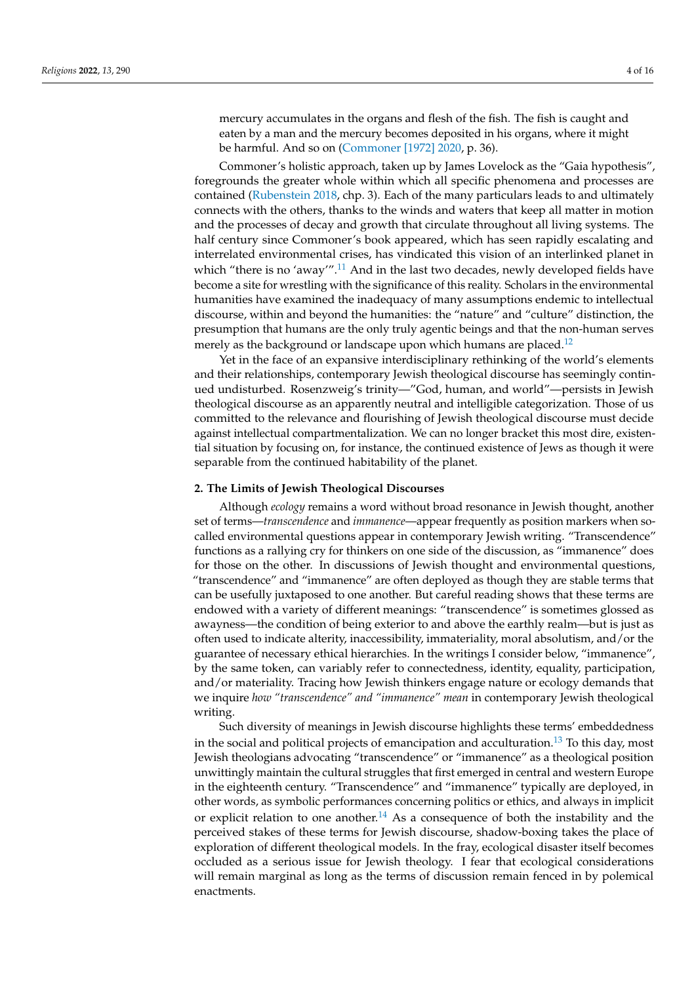mercury accumulates in the organs and flesh of the fish. The fish is caught and eaten by a man and the mercury becomes deposited in his organs, where it might be harmful. And so on [\(Commoner \[1972\]](#page-14-0) [2020,](#page-14-0) p. 36).

Commoner's holistic approach, taken up by James Lovelock as the "Gaia hypothesis", foregrounds the greater whole within which all specific phenomena and processes are contained [\(Rubenstein](#page-15-1) [2018,](#page-15-1) chp. 3). Each of the many particulars leads to and ultimately connects with the others, thanks to the winds and waters that keep all matter in motion and the processes of decay and growth that circulate throughout all living systems. The half century since Commoner's book appeared, which has seen rapidly escalating and interrelated environmental crises, has vindicated this vision of an interlinked planet in which "there is no 'away".<sup>[11](#page-12-7)</sup> And in the last two decades, newly developed fields have become a site for wrestling with the significance of this reality. Scholars in the environmental humanities have examined the inadequacy of many assumptions endemic to intellectual discourse, within and beyond the humanities: the "nature" and "culture" distinction, the presumption that humans are the only truly agentic beings and that the non-human serves merely as the background or landscape upon which humans are placed.<sup>[12](#page-12-8)</sup>

<span id="page-3-1"></span><span id="page-3-0"></span>Yet in the face of an expansive interdisciplinary rethinking of the world's elements and their relationships, contemporary Jewish theological discourse has seemingly continued undisturbed. Rosenzweig's trinity—"God, human, and world"—persists in Jewish theological discourse as an apparently neutral and intelligible categorization. Those of us committed to the relevance and flourishing of Jewish theological discourse must decide against intellectual compartmentalization. We can no longer bracket this most dire, existential situation by focusing on, for instance, the continued existence of Jews as though it were separable from the continued habitability of the planet.

#### **2. The Limits of Jewish Theological Discourses**

Although *ecology* remains a word without broad resonance in Jewish thought, another set of terms—*transcendence* and *immanence*—appear frequently as position markers when socalled environmental questions appear in contemporary Jewish writing. "Transcendence" functions as a rallying cry for thinkers on one side of the discussion, as "immanence" does for those on the other. In discussions of Jewish thought and environmental questions, "transcendence" and "immanence" are often deployed as though they are stable terms that can be usefully juxtaposed to one another. But careful reading shows that these terms are endowed with a variety of different meanings: "transcendence" is sometimes glossed as awayness—the condition of being exterior to and above the earthly realm—but is just as often used to indicate alterity, inaccessibility, immateriality, moral absolutism, and/or the guarantee of necessary ethical hierarchies. In the writings I consider below, "immanence", by the same token, can variably refer to connectedness, identity, equality, participation, and/or materiality. Tracing how Jewish thinkers engage nature or ecology demands that we inquire *how "transcendence" and "immanence" mean* in contemporary Jewish theological writing.

<span id="page-3-3"></span><span id="page-3-2"></span>Such diversity of meanings in Jewish discourse highlights these terms' embeddedness in the social and political projects of emancipation and acculturation.<sup>[13](#page-12-9)</sup> To this day, most Jewish theologians advocating "transcendence" or "immanence" as a theological position unwittingly maintain the cultural struggles that first emerged in central and western Europe in the eighteenth century. "Transcendence" and "immanence" typically are deployed, in other words, as symbolic performances concerning politics or ethics, and always in implicit or explicit relation to one another.<sup>[14](#page-12-10)</sup> As a consequence of both the instability and the perceived stakes of these terms for Jewish discourse, shadow-boxing takes the place of exploration of different theological models. In the fray, ecological disaster itself becomes occluded as a serious issue for Jewish theology. I fear that ecological considerations will remain marginal as long as the terms of discussion remain fenced in by polemical enactments.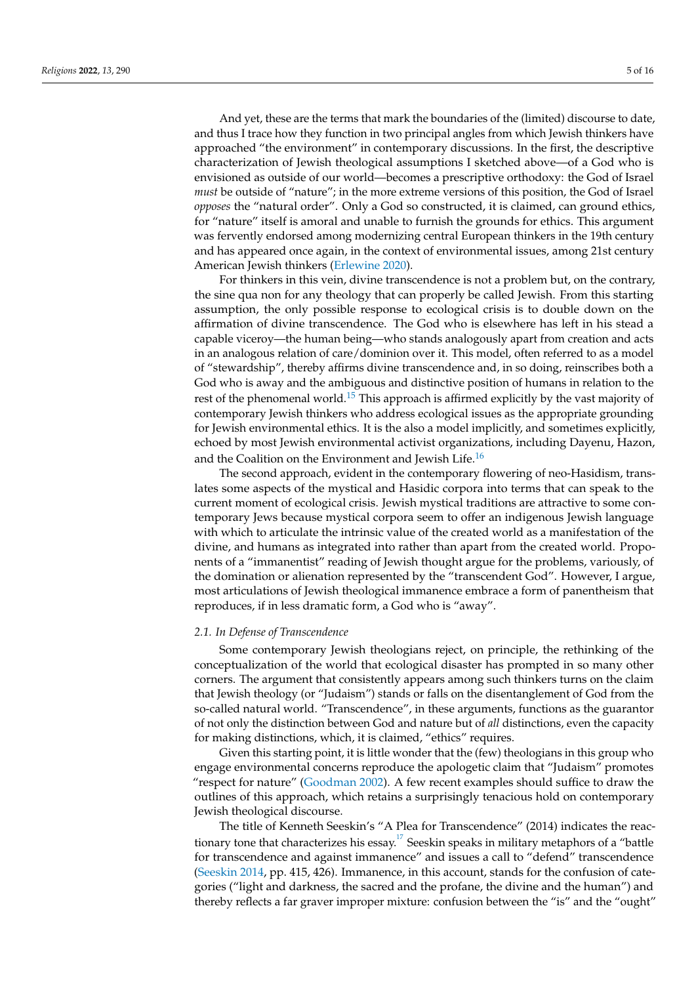And yet, these are the terms that mark the boundaries of the (limited) discourse to date, and thus I trace how they function in two principal angles from which Jewish thinkers have approached "the environment" in contemporary discussions. In the first, the descriptive characterization of Jewish theological assumptions I sketched above—of a God who is envisioned as outside of our world—becomes a prescriptive orthodoxy: the God of Israel *must* be outside of "nature"; in the more extreme versions of this position, the God of Israel *opposes* the "natural order". Only a God so constructed, it is claimed, can ground ethics, for "nature" itself is amoral and unable to furnish the grounds for ethics. This argument was fervently endorsed among modernizing central European thinkers in the 19th century and has appeared once again, in the context of environmental issues, among 21st century American Jewish thinkers [\(Erlewine](#page-14-1) [2020\)](#page-14-1).

For thinkers in this vein, divine transcendence is not a problem but, on the contrary, the sine qua non for any theology that can properly be called Jewish. From this starting assumption, the only possible response to ecological crisis is to double down on the affirmation of divine transcendence. The God who is elsewhere has left in his stead a capable viceroy—the human being—who stands analogously apart from creation and acts in an analogous relation of care/dominion over it. This model, often referred to as a model of "stewardship", thereby affirms divine transcendence and, in so doing, reinscribes both a God who is away and the ambiguous and distinctive position of humans in relation to the rest of the phenomenal world.<sup>[15](#page-12-11)</sup> This approach is affirmed explicitly by the vast majority of contemporary Jewish thinkers who address ecological issues as the appropriate grounding for Jewish environmental ethics. It is the also a model implicitly, and sometimes explicitly, echoed by most Jewish environmental activist organizations, including Dayenu, Hazon, and the Coalition on the Environment and Jewish Life.<sup>[16](#page-12-12)</sup>

<span id="page-4-1"></span><span id="page-4-0"></span>The second approach, evident in the contemporary flowering of neo-Hasidism, translates some aspects of the mystical and Hasidic corpora into terms that can speak to the current moment of ecological crisis. Jewish mystical traditions are attractive to some contemporary Jews because mystical corpora seem to offer an indigenous Jewish language with which to articulate the intrinsic value of the created world as a manifestation of the divine, and humans as integrated into rather than apart from the created world. Proponents of a "immanentist" reading of Jewish thought argue for the problems, variously, of the domination or alienation represented by the "transcendent God". However, I argue, most articulations of Jewish theological immanence embrace a form of panentheism that reproduces, if in less dramatic form, a God who is "away".

### *2.1. In Defense of Transcendence*

Some contemporary Jewish theologians reject, on principle, the rethinking of the conceptualization of the world that ecological disaster has prompted in so many other corners. The argument that consistently appears among such thinkers turns on the claim that Jewish theology (or "Judaism") stands or falls on the disentanglement of God from the so-called natural world. "Transcendence", in these arguments, functions as the guarantor of not only the distinction between God and nature but of *all* distinctions, even the capacity for making distinctions, which, it is claimed, "ethics" requires.

Given this starting point, it is little wonder that the (few) theologians in this group who engage environmental concerns reproduce the apologetic claim that "Judaism" promotes "respect for nature" [\(Goodman](#page-14-2) [2002\)](#page-14-2). A few recent examples should suffice to draw the outlines of this approach, which retains a surprisingly tenacious hold on contemporary Jewish theological discourse.

<span id="page-4-2"></span>The title of Kenneth Seeskin's "A Plea for Transcendence" (2014) indicates the reac-tionary tone that characterizes his essay.<sup>[17](#page-12-13)</sup> Seeskin speaks in military metaphors of a "battle for transcendence and against immanence" and issues a call to "defend" transcendence [\(Seeskin](#page-15-2) [2014,](#page-15-2) pp. 415, 426). Immanence, in this account, stands for the confusion of categories ("light and darkness, the sacred and the profane, the divine and the human") and thereby reflects a far graver improper mixture: confusion between the "is" and the "ought"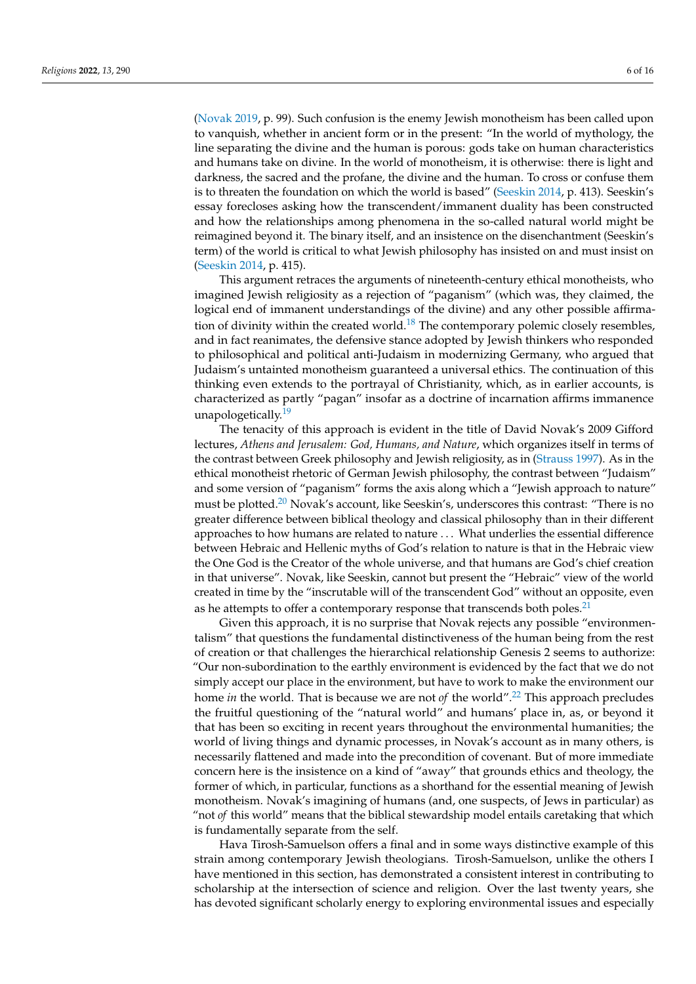[\(Novak](#page-14-3) [2019,](#page-14-3) p. 99). Such confusion is the enemy Jewish monotheism has been called upon to vanquish, whether in ancient form or in the present: "In the world of mythology, the line separating the divine and the human is porous: gods take on human characteristics and humans take on divine. In the world of monotheism, it is otherwise: there is light and darkness, the sacred and the profane, the divine and the human. To cross or confuse them is to threaten the foundation on which the world is based" [\(Seeskin](#page-15-2) [2014,](#page-15-2) p. 413). Seeskin's essay forecloses asking how the transcendent/immanent duality has been constructed and how the relationships among phenomena in the so-called natural world might be reimagined beyond it. The binary itself, and an insistence on the disenchantment (Seeskin's term) of the world is critical to what Jewish philosophy has insisted on and must insist on [\(Seeskin](#page-15-2) [2014,](#page-15-2) p. 415).

<span id="page-5-0"></span>This argument retraces the arguments of nineteenth-century ethical monotheists, who imagined Jewish religiosity as a rejection of "paganism" (which was, they claimed, the logical end of immanent understandings of the divine) and any other possible affirma-tion of divinity within the created world.<sup>[18](#page-13-0)</sup> The contemporary polemic closely resembles, and in fact reanimates, the defensive stance adopted by Jewish thinkers who responded to philosophical and political anti-Judaism in modernizing Germany, who argued that Judaism's untainted monotheism guaranteed a universal ethics. The continuation of this thinking even extends to the portrayal of Christianity, which, as in earlier accounts, is characterized as partly "pagan" insofar as a doctrine of incarnation affirms immanence unapologetically.<sup>[19](#page-13-1)</sup>

<span id="page-5-2"></span><span id="page-5-1"></span>The tenacity of this approach is evident in the title of David Novak's 2009 Gifford lectures, *Athens and Jerusalem: God, Humans, and Nature*, which organizes itself in terms of the contrast between Greek philosophy and Jewish religiosity, as in [\(Strauss](#page-15-3) [1997\)](#page-15-3). As in the ethical monotheist rhetoric of German Jewish philosophy, the contrast between "Judaism" and some version of "paganism" forms the axis along which a "Jewish approach to nature" must be plotted.<sup>[20](#page-13-2)</sup> Novak's account, like Seeskin's, underscores this contrast: "There is no greater difference between biblical theology and classical philosophy than in their different approaches to how humans are related to nature . . . What underlies the essential difference between Hebraic and Hellenic myths of God's relation to nature is that in the Hebraic view the One God is the Creator of the whole universe, and that humans are God's chief creation in that universe". Novak, like Seeskin, cannot but present the "Hebraic" view of the world created in time by the "inscrutable will of the transcendent God" without an opposite, even as he attempts to offer a contemporary response that transcends both poles.<sup>[21](#page-13-3)</sup>

<span id="page-5-4"></span><span id="page-5-3"></span>Given this approach, it is no surprise that Novak rejects any possible "environmentalism" that questions the fundamental distinctiveness of the human being from the rest of creation or that challenges the hierarchical relationship Genesis 2 seems to authorize: "Our non-subordination to the earthly environment is evidenced by the fact that we do not simply accept our place in the environment, but have to work to make the environment our home *in* the world. That is because we are not *of* the world".[22](#page-13-4) This approach precludes the fruitful questioning of the "natural world" and humans' place in, as, or beyond it that has been so exciting in recent years throughout the environmental humanities; the world of living things and dynamic processes, in Novak's account as in many others, is necessarily flattened and made into the precondition of covenant. But of more immediate concern here is the insistence on a kind of "away" that grounds ethics and theology, the former of which, in particular, functions as a shorthand for the essential meaning of Jewish monotheism. Novak's imagining of humans (and, one suspects, of Jews in particular) as "not *of* this world" means that the biblical stewardship model entails caretaking that which is fundamentally separate from the self.

Hava Tirosh-Samuelson offers a final and in some ways distinctive example of this strain among contemporary Jewish theologians. Tirosh-Samuelson, unlike the others I have mentioned in this section, has demonstrated a consistent interest in contributing to scholarship at the intersection of science and religion. Over the last twenty years, she has devoted significant scholarly energy to exploring environmental issues and especially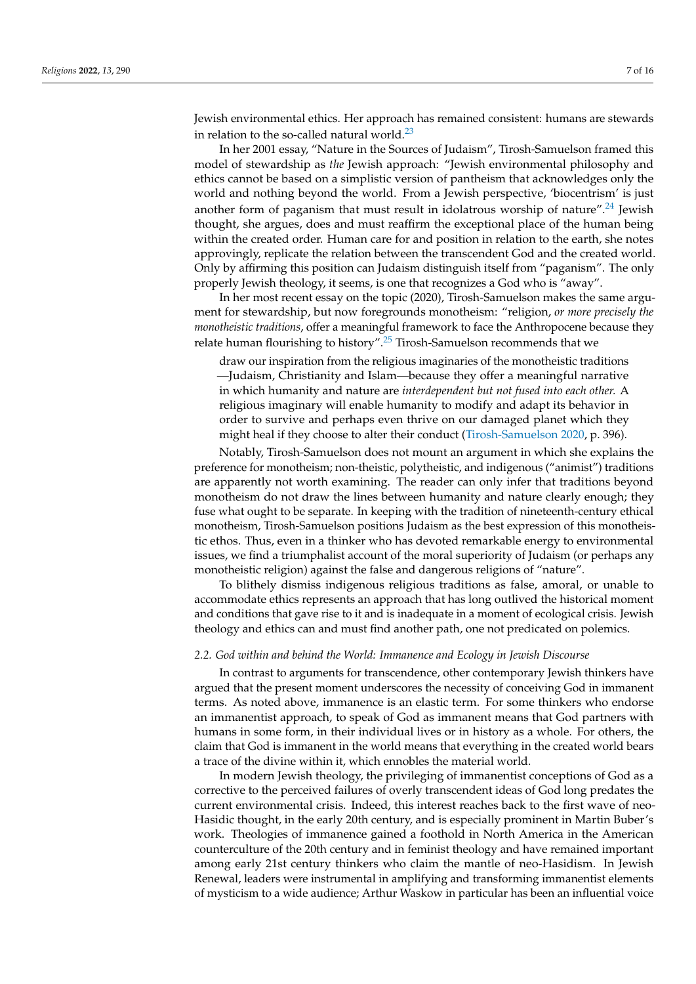<span id="page-6-0"></span>Jewish environmental ethics. Her approach has remained consistent: humans are stewards in relation to the so-called natural world. $^{23}$  $^{23}$  $^{23}$ 

<span id="page-6-1"></span>In her 2001 essay, "Nature in the Sources of Judaism", Tirosh-Samuelson framed this model of stewardship as *the* Jewish approach: "Jewish environmental philosophy and ethics cannot be based on a simplistic version of pantheism that acknowledges only the world and nothing beyond the world. From a Jewish perspective, 'biocentrism' is just another form of paganism that must result in idolatrous worship of nature".<sup>[24](#page-13-6)</sup> Jewish thought, she argues, does and must reaffirm the exceptional place of the human being within the created order. Human care for and position in relation to the earth, she notes approvingly, replicate the relation between the transcendent God and the created world. Only by affirming this position can Judaism distinguish itself from "paganism". The only properly Jewish theology, it seems, is one that recognizes a God who is "away".

In her most recent essay on the topic (2020), Tirosh-Samuelson makes the same argument for stewardship, but now foregrounds monotheism: "religion, *or more precisely the monotheistic traditions*, offer a meaningful framework to face the Anthropocene because they relate human flourishing to history".<sup>[25](#page-13-7)</sup> Tirosh-Samuelson recommends that we

<span id="page-6-2"></span>draw our inspiration from the religious imaginaries of the monotheistic traditions —Judaism, Christianity and Islam—because they offer a meaningful narrative in which humanity and nature are *interdependent but not fused into each other.* A religious imaginary will enable humanity to modify and adapt its behavior in order to survive and perhaps even thrive on our damaged planet which they might heal if they choose to alter their conduct [\(Tirosh-Samuelson](#page-15-4) [2020,](#page-15-4) p. 396).

Notably, Tirosh-Samuelson does not mount an argument in which she explains the preference for monotheism; non-theistic, polytheistic, and indigenous ("animist") traditions are apparently not worth examining. The reader can only infer that traditions beyond monotheism do not draw the lines between humanity and nature clearly enough; they fuse what ought to be separate. In keeping with the tradition of nineteenth-century ethical monotheism, Tirosh-Samuelson positions Judaism as the best expression of this monotheistic ethos. Thus, even in a thinker who has devoted remarkable energy to environmental issues, we find a triumphalist account of the moral superiority of Judaism (or perhaps any monotheistic religion) against the false and dangerous religions of "nature".

To blithely dismiss indigenous religious traditions as false, amoral, or unable to accommodate ethics represents an approach that has long outlived the historical moment and conditions that gave rise to it and is inadequate in a moment of ecological crisis. Jewish theology and ethics can and must find another path, one not predicated on polemics.

#### *2.2. God within and behind the World: Immanence and Ecology in Jewish Discourse*

In contrast to arguments for transcendence, other contemporary Jewish thinkers have argued that the present moment underscores the necessity of conceiving God in immanent terms. As noted above, immanence is an elastic term. For some thinkers who endorse an immanentist approach, to speak of God as immanent means that God partners with humans in some form, in their individual lives or in history as a whole. For others, the claim that God is immanent in the world means that everything in the created world bears a trace of the divine within it, which ennobles the material world.

In modern Jewish theology, the privileging of immanentist conceptions of God as a corrective to the perceived failures of overly transcendent ideas of God long predates the current environmental crisis. Indeed, this interest reaches back to the first wave of neo-Hasidic thought, in the early 20th century, and is especially prominent in Martin Buber's work. Theologies of immanence gained a foothold in North America in the American counterculture of the 20th century and in feminist theology and have remained important among early 21st century thinkers who claim the mantle of neo-Hasidism. In Jewish Renewal, leaders were instrumental in amplifying and transforming immanentist elements of mysticism to a wide audience; Arthur Waskow in particular has been an influential voice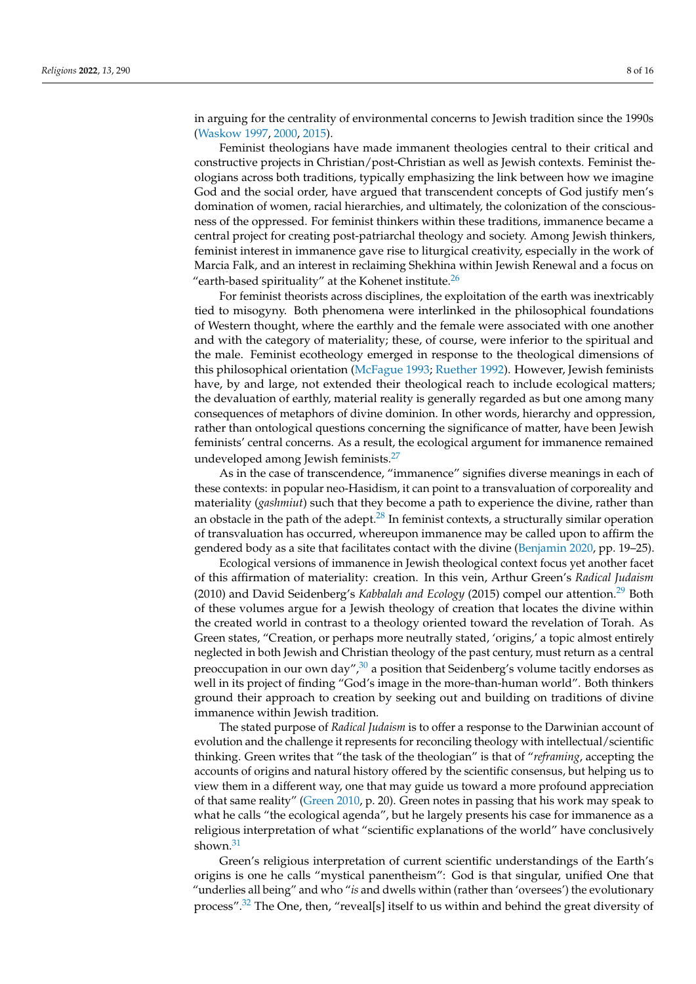in arguing for the centrality of environmental concerns to Jewish tradition since the 1990s [\(Waskow](#page-15-5) [1997,](#page-15-5) [2000,](#page-15-6) [2015\)](#page-15-7).

Feminist theologians have made immanent theologies central to their critical and constructive projects in Christian/post-Christian as well as Jewish contexts. Feminist theologians across both traditions, typically emphasizing the link between how we imagine God and the social order, have argued that transcendent concepts of God justify men's domination of women, racial hierarchies, and ultimately, the colonization of the consciousness of the oppressed. For feminist thinkers within these traditions, immanence became a central project for creating post-patriarchal theology and society. Among Jewish thinkers, feminist interest in immanence gave rise to liturgical creativity, especially in the work of Marcia Falk, and an interest in reclaiming Shekhina within Jewish Renewal and a focus on "earth-based spirituality" at the Kohenet institute. $26$ 

<span id="page-7-0"></span>For feminist theorists across disciplines, the exploitation of the earth was inextricably tied to misogyny. Both phenomena were interlinked in the philosophical foundations of Western thought, where the earthly and the female were associated with one another and with the category of materiality; these, of course, were inferior to the spiritual and the male. Feminist ecotheology emerged in response to the theological dimensions of this philosophical orientation [\(McFague](#page-14-4) [1993;](#page-14-4) [Ruether](#page-15-8) [1992\)](#page-15-8). However, Jewish feminists have, by and large, not extended their theological reach to include ecological matters; the devaluation of earthly, material reality is generally regarded as but one among many consequences of metaphors of divine dominion. In other words, hierarchy and oppression, rather than ontological questions concerning the significance of matter, have been Jewish feminists' central concerns. As a result, the ecological argument for immanence remained undeveloped among Jewish feminists.[27](#page-13-9)

<span id="page-7-2"></span><span id="page-7-1"></span>As in the case of transcendence, "immanence" signifies diverse meanings in each of these contexts: in popular neo-Hasidism, it can point to a transvaluation of corporeality and materiality (*gashmiut*) such that they become a path to experience the divine, rather than an obstacle in the path of the adept. $^{28}$  $^{28}$  $^{28}$  In feminist contexts, a structurally similar operation of transvaluation has occurred, whereupon immanence may be called upon to affirm the gendered body as a site that facilitates contact with the divine [\(Benjamin](#page-14-5) [2020,](#page-14-5) pp. 19–25).

<span id="page-7-3"></span>Ecological versions of immanence in Jewish theological context focus yet another facet of this affirmation of materiality: creation. In this vein, Arthur Green's *Radical Judaism* (2010) and David Seidenberg's *Kabbalah and Ecology* (2015) compel our attention.[29](#page-13-11) Both of these volumes argue for a Jewish theology of creation that locates the divine within the created world in contrast to a theology oriented toward the revelation of Torah. As Green states, "Creation, or perhaps more neutrally stated, 'origins,' a topic almost entirely neglected in both Jewish and Christian theology of the past century, must return as a central preoccupation in our own day", $30$  a position that Seidenberg's volume tacitly endorses as well in its project of finding "God's image in the more-than-human world". Both thinkers ground their approach to creation by seeking out and building on traditions of divine immanence within Jewish tradition.

<span id="page-7-4"></span>The stated purpose of *Radical Judaism* is to offer a response to the Darwinian account of evolution and the challenge it represents for reconciling theology with intellectual/scientific thinking. Green writes that "the task of the theologian" is that of "*reframing*, accepting the accounts of origins and natural history offered by the scientific consensus, but helping us to view them in a different way, one that may guide us toward a more profound appreciation of that same reality" [\(Green](#page-14-6) [2010,](#page-14-6) p. 20). Green notes in passing that his work may speak to what he calls "the ecological agenda", but he largely presents his case for immanence as a religious interpretation of what "scientific explanations of the world" have conclusively shown.<sup>[31](#page-13-13)</sup>

<span id="page-7-6"></span><span id="page-7-5"></span>Green's religious interpretation of current scientific understandings of the Earth's origins is one he calls "mystical panentheism": God is that singular, unified One that "underlies all being" and who "*is* and dwells within (rather than 'oversees') the evolutionary process".[32](#page-13-14) The One, then, "reveal[s] itself to us within and behind the great diversity of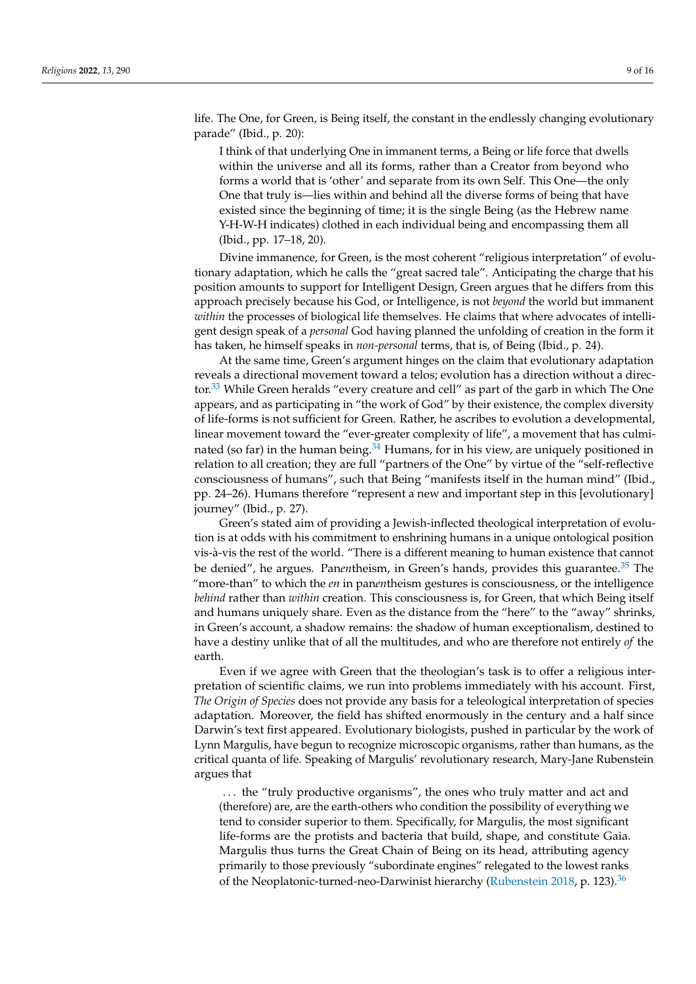life. The One, for Green, is Being itself, the constant in the endlessly changing evolutionary parade" (Ibid., p. 20):

I think of that underlying One in immanent terms, a Being or life force that dwells within the universe and all its forms, rather than a Creator from beyond who forms a world that is 'other' and separate from its own Self. This One—the only One that truly is—lies within and behind all the diverse forms of being that have existed since the beginning of time; it is the single Being (as the Hebrew name Y-H-W-H indicates) clothed in each individual being and encompassing them all (Ibid., pp. 17–18, 20).

Divine immanence, for Green, is the most coherent "religious interpretation" of evolutionary adaptation, which he calls the "great sacred tale". Anticipating the charge that his position amounts to support for Intelligent Design, Green argues that he differs from this approach precisely because his God, or Intelligence, is not *beyond* the world but immanent *within* the processes of biological life themselves. He claims that where advocates of intelligent design speak of a *personal* God having planned the unfolding of creation in the form it has taken, he himself speaks in *non-personal* terms, that is, of Being (Ibid., p. 24).

<span id="page-8-0"></span>At the same time, Green's argument hinges on the claim that evolutionary adaptation reveals a directional movement toward a telos; evolution has a direction without a direc-tor.<sup>[33](#page-13-15)</sup> While Green heralds "every creature and cell" as part of the garb in which The One appears, and as participating in "the work of God" by their existence, the complex diversity of life-forms is not sufficient for Green. Rather, he ascribes to evolution a developmental, linear movement toward the "ever-greater complexity of life", a movement that has culminated (so far) in the human being. $34$  Humans, for in his view, are uniquely positioned in relation to all creation; they are full "partners of the One" by virtue of the "self-reflective consciousness of humans", such that Being "manifests itself in the human mind" (Ibid., pp. 24–26). Humans therefore "represent a new and important step in this [evolutionary] journey" (Ibid., p. 27).

<span id="page-8-2"></span><span id="page-8-1"></span>Green's stated aim of providing a Jewish-inflected theological interpretation of evolution is at odds with his commitment to enshrining humans in a unique ontological position vis-à-vis the rest of the world. "There is a different meaning to human existence that cannot be denied", he argues. Panentheism, in Green's hands, provides this guarantee.<sup>[35](#page-13-17)</sup> The "more-than" to which the *en* in pan*en*theism gestures is consciousness, or the intelligence *behind* rather than *within* creation. This consciousness is, for Green, that which Being itself and humans uniquely share. Even as the distance from the "here" to the "away" shrinks, in Green's account, a shadow remains: the shadow of human exceptionalism, destined to have a destiny unlike that of all the multitudes, and who are therefore not entirely *of* the earth.

Even if we agree with Green that the theologian's task is to offer a religious interpretation of scientific claims, we run into problems immediately with his account. First, *The Origin of Species* does not provide any basis for a teleological interpretation of species adaptation. Moreover, the field has shifted enormously in the century and a half since Darwin's text first appeared. Evolutionary biologists, pushed in particular by the work of Lynn Margulis, have begun to recognize microscopic organisms, rather than humans, as the critical quanta of life. Speaking of Margulis' revolutionary research, Mary-Jane Rubenstein argues that

<span id="page-8-3"></span>... the "truly productive organisms", the ones who truly matter and act and (therefore) are, are the earth-others who condition the possibility of everything we tend to consider superior to them. Specifically, for Margulis, the most significant life-forms are the protists and bacteria that build, shape, and constitute Gaia. Margulis thus turns the Great Chain of Being on its head, attributing agency primarily to those previously "subordinate engines" relegated to the lowest ranks of the Neoplatonic-turned-neo-Darwinist hierarchy [\(Rubenstein](#page-15-1) [2018,](#page-15-1) p. 123).[36](#page-13-18)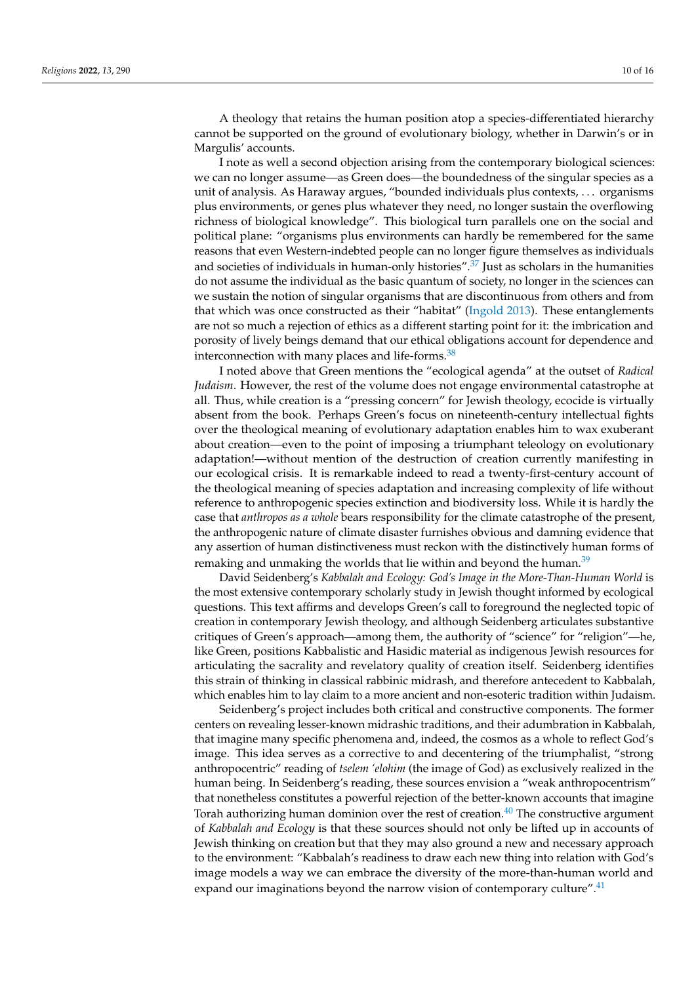A theology that retains the human position atop a species-differentiated hierarchy cannot be supported on the ground of evolutionary biology, whether in Darwin's or in Margulis' accounts.

<span id="page-9-0"></span>I note as well a second objection arising from the contemporary biological sciences: we can no longer assume—as Green does—the boundedness of the singular species as a unit of analysis. As Haraway argues, "bounded individuals plus contexts, . . . organisms plus environments, or genes plus whatever they need, no longer sustain the overflowing richness of biological knowledge". This biological turn parallels one on the social and political plane: "organisms plus environments can hardly be remembered for the same reasons that even Western-indebted people can no longer figure themselves as individuals and societies of individuals in human-only histories".<sup>[37](#page-13-19)</sup> Just as scholars in the humanities do not assume the individual as the basic quantum of society, no longer in the sciences can we sustain the notion of singular organisms that are discontinuous from others and from that which was once constructed as their "habitat" [\(Ingold](#page-14-7) [2013\)](#page-14-7). These entanglements are not so much a rejection of ethics as a different starting point for it: the imbrication and porosity of lively beings demand that our ethical obligations account for dependence and interconnection with many places and life-forms. $38$ 

<span id="page-9-1"></span>I noted above that Green mentions the "ecological agenda" at the outset of *Radical Judaism*. However, the rest of the volume does not engage environmental catastrophe at all. Thus, while creation is a "pressing concern" for Jewish theology, ecocide is virtually absent from the book. Perhaps Green's focus on nineteenth-century intellectual fights over the theological meaning of evolutionary adaptation enables him to wax exuberant about creation—even to the point of imposing a triumphant teleology on evolutionary adaptation!—without mention of the destruction of creation currently manifesting in our ecological crisis. It is remarkable indeed to read a twenty-first-century account of the theological meaning of species adaptation and increasing complexity of life without reference to anthropogenic species extinction and biodiversity loss. While it is hardly the case that *anthropos as a whole* bears responsibility for the climate catastrophe of the present, the anthropogenic nature of climate disaster furnishes obvious and damning evidence that any assertion of human distinctiveness must reckon with the distinctively human forms of remaking and unmaking the worlds that lie within and beyond the human.<sup>[39](#page-14-8)</sup>

<span id="page-9-2"></span>David Seidenberg's *Kabbalah and Ecology: God's Image in the More-Than-Human World* is the most extensive contemporary scholarly study in Jewish thought informed by ecological questions. This text affirms and develops Green's call to foreground the neglected topic of creation in contemporary Jewish theology, and although Seidenberg articulates substantive critiques of Green's approach—among them, the authority of "science" for "religion"—he, like Green, positions Kabbalistic and Hasidic material as indigenous Jewish resources for articulating the sacrality and revelatory quality of creation itself. Seidenberg identifies this strain of thinking in classical rabbinic midrash, and therefore antecedent to Kabbalah, which enables him to lay claim to a more ancient and non-esoteric tradition within Judaism.

<span id="page-9-4"></span><span id="page-9-3"></span>Seidenberg's project includes both critical and constructive components. The former centers on revealing lesser-known midrashic traditions, and their adumbration in Kabbalah, that imagine many specific phenomena and, indeed, the cosmos as a whole to reflect God's image. This idea serves as a corrective to and decentering of the triumphalist, "strong anthropocentric" reading of *tselem 'elohim* (the image of God) as exclusively realized in the human being. In Seidenberg's reading, these sources envision a "weak anthropocentrism" that nonetheless constitutes a powerful rejection of the better-known accounts that imagine Torah authorizing human dominion over the rest of creation.<sup>[40](#page-14-9)</sup> The constructive argument of *Kabbalah and Ecology* is that these sources should not only be lifted up in accounts of Jewish thinking on creation but that they may also ground a new and necessary approach to the environment: "Kabbalah's readiness to draw each new thing into relation with God's image models a way we can embrace the diversity of the more-than-human world and expand our imaginations beyond the narrow vision of contemporary culture".<sup>[41](#page-14-10)</sup>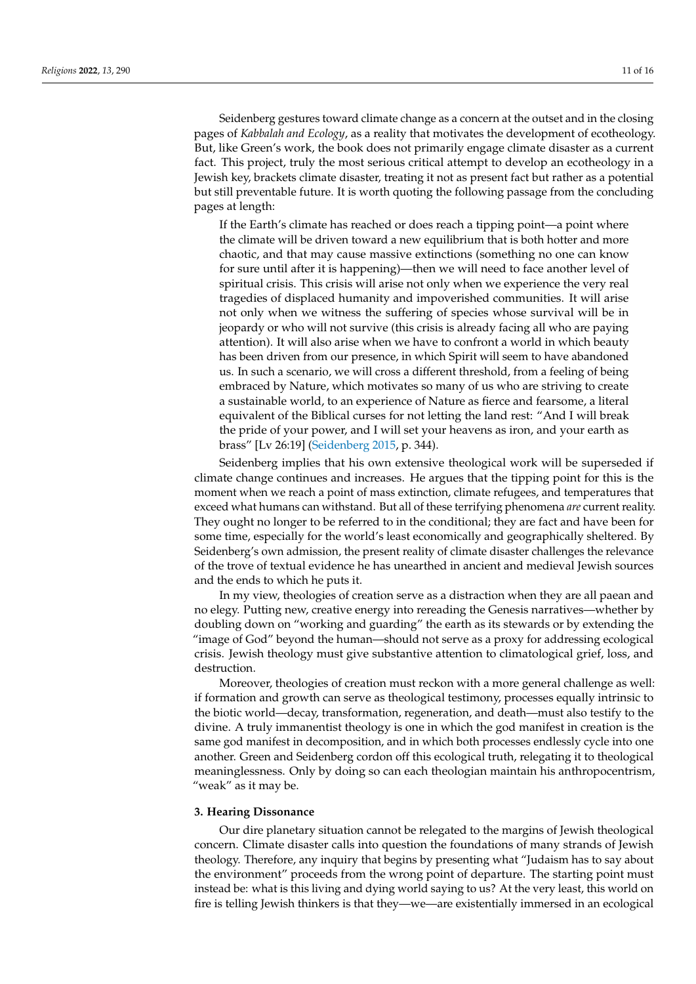Seidenberg gestures toward climate change as a concern at the outset and in the closing pages of *Kabbalah and Ecology*, as a reality that motivates the development of ecotheology. But, like Green's work, the book does not primarily engage climate disaster as a current fact. This project, truly the most serious critical attempt to develop an ecotheology in a Jewish key, brackets climate disaster, treating it not as present fact but rather as a potential but still preventable future. It is worth quoting the following passage from the concluding pages at length:

If the Earth's climate has reached or does reach a tipping point—a point where the climate will be driven toward a new equilibrium that is both hotter and more chaotic, and that may cause massive extinctions (something no one can know for sure until after it is happening)—then we will need to face another level of spiritual crisis. This crisis will arise not only when we experience the very real tragedies of displaced humanity and impoverished communities. It will arise not only when we witness the suffering of species whose survival will be in jeopardy or who will not survive (this crisis is already facing all who are paying attention). It will also arise when we have to confront a world in which beauty has been driven from our presence, in which Spirit will seem to have abandoned us. In such a scenario, we will cross a different threshold, from a feeling of being embraced by Nature, which motivates so many of us who are striving to create a sustainable world, to an experience of Nature as fierce and fearsome, a literal equivalent of the Biblical curses for not letting the land rest: "And I will break the pride of your power, and I will set your heavens as iron, and your earth as brass" [Lv 26:19] [\(Seidenberg](#page-15-9) [2015,](#page-15-9) p. 344).

Seidenberg implies that his own extensive theological work will be superseded if climate change continues and increases. He argues that the tipping point for this is the moment when we reach a point of mass extinction, climate refugees, and temperatures that exceed what humans can withstand. But all of these terrifying phenomena *are* current reality. They ought no longer to be referred to in the conditional; they are fact and have been for some time, especially for the world's least economically and geographically sheltered. By Seidenberg's own admission, the present reality of climate disaster challenges the relevance of the trove of textual evidence he has unearthed in ancient and medieval Jewish sources and the ends to which he puts it.

In my view, theologies of creation serve as a distraction when they are all paean and no elegy. Putting new, creative energy into rereading the Genesis narratives—whether by doubling down on "working and guarding" the earth as its stewards or by extending the "image of God" beyond the human—should not serve as a proxy for addressing ecological crisis. Jewish theology must give substantive attention to climatological grief, loss, and destruction.

Moreover, theologies of creation must reckon with a more general challenge as well: if formation and growth can serve as theological testimony, processes equally intrinsic to the biotic world—decay, transformation, regeneration, and death—must also testify to the divine. A truly immanentist theology is one in which the god manifest in creation is the same god manifest in decomposition, and in which both processes endlessly cycle into one another. Green and Seidenberg cordon off this ecological truth, relegating it to theological meaninglessness. Only by doing so can each theologian maintain his anthropocentrism, "weak" as it may be.

#### **3. Hearing Dissonance**

Our dire planetary situation cannot be relegated to the margins of Jewish theological concern. Climate disaster calls into question the foundations of many strands of Jewish theology. Therefore, any inquiry that begins by presenting what "Judaism has to say about the environment" proceeds from the wrong point of departure. The starting point must instead be: what is this living and dying world saying to us? At the very least, this world on fire is telling Jewish thinkers is that they—we—are existentially immersed in an ecological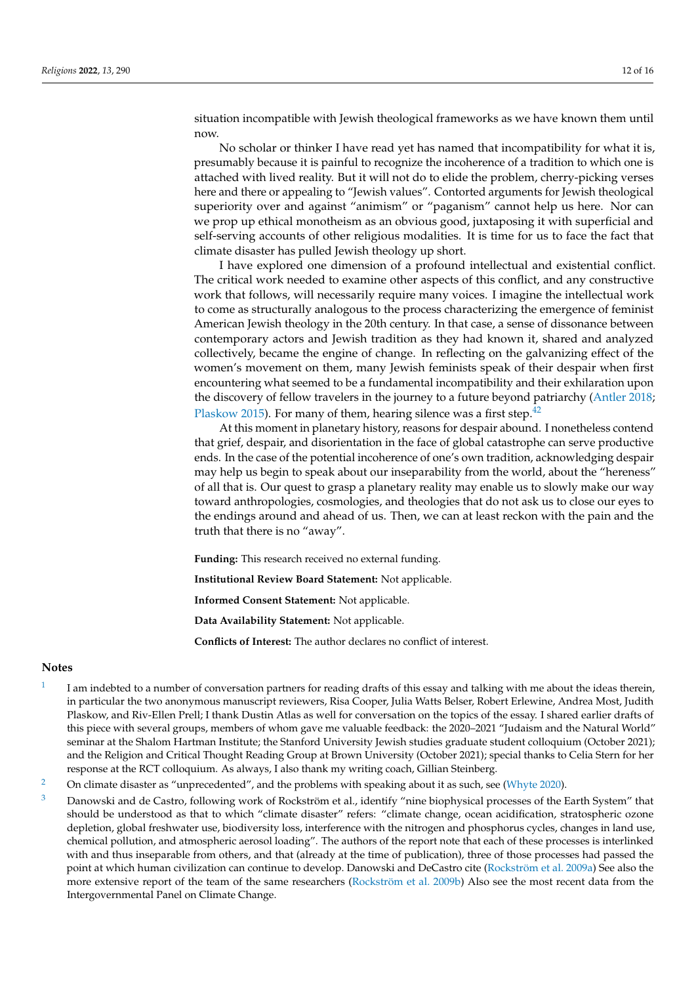situation incompatible with Jewish theological frameworks as we have known them until now.

No scholar or thinker I have read yet has named that incompatibility for what it is, presumably because it is painful to recognize the incoherence of a tradition to which one is attached with lived reality. But it will not do to elide the problem, cherry-picking verses here and there or appealing to "Jewish values". Contorted arguments for Jewish theological superiority over and against "animism" or "paganism" cannot help us here. Nor can we prop up ethical monotheism as an obvious good, juxtaposing it with superficial and self-serving accounts of other religious modalities. It is time for us to face the fact that climate disaster has pulled Jewish theology up short.

I have explored one dimension of a profound intellectual and existential conflict. The critical work needed to examine other aspects of this conflict, and any constructive work that follows, will necessarily require many voices. I imagine the intellectual work to come as structurally analogous to the process characterizing the emergence of feminist American Jewish theology in the 20th century. In that case, a sense of dissonance between contemporary actors and Jewish tradition as they had known it, shared and analyzed collectively, became the engine of change. In reflecting on the galvanizing effect of the women's movement on them, many Jewish feminists speak of their despair when first encountering what seemed to be a fundamental incompatibility and their exhilaration upon the discovery of fellow travelers in the journey to a future beyond patriarchy [\(Antler](#page-14-11) [2018;](#page-14-11) [Plaskow](#page-15-10) [2015\)](#page-15-10). For many of them, hearing silence was a first step. $42$ 

<span id="page-11-3"></span>At this moment in planetary history, reasons for despair abound. I nonetheless contend that grief, despair, and disorientation in the face of global catastrophe can serve productive ends. In the case of the potential incoherence of one's own tradition, acknowledging despair may help us begin to speak about our inseparability from the world, about the "hereness" of all that is. Our quest to grasp a planetary reality may enable us to slowly make our way toward anthropologies, cosmologies, and theologies that do not ask us to close our eyes to the endings around and ahead of us. Then, we can at least reckon with the pain and the truth that there is no "away".

**Funding:** This research received no external funding.

**Institutional Review Board Statement:** Not applicable.

**Informed Consent Statement:** Not applicable.

**Data Availability Statement:** Not applicable.

**Conflicts of Interest:** The author declares no conflict of interest.

#### **Notes**

- <span id="page-11-0"></span>[1](#page-0-0) I am indebted to a number of conversation partners for reading drafts of this essay and talking with me about the ideas therein, in particular the two anonymous manuscript reviewers, Risa Cooper, Julia Watts Belser, Robert Erlewine, Andrea Most, Judith Plaskow, and Riv-Ellen Prell; I thank Dustin Atlas as well for conversation on the topics of the essay. I shared earlier drafts of this piece with several groups, members of whom gave me valuable feedback: the 2020–2021 "Judaism and the Natural World" seminar at the Shalom Hartman Institute; the Stanford University Jewish studies graduate student colloquium (October 2021); and the Religion and Critical Thought Reading Group at Brown University (October 2021); special thanks to Celia Stern for her response at the RCT colloquium. As always, I also thank my writing coach, Gillian Steinberg.
- <span id="page-11-1"></span><sup>[2](#page-0-1)</sup> On climate disaster as "unprecedented", and the problems with speaking about it as such, see [\(Whyte](#page-15-11) [2020\)](#page-15-11).
- <span id="page-11-2"></span><sup>[3](#page-0-2)</sup> Danowski and de Castro, following work of Rockström et al., identify "nine biophysical processes of the Earth System" that should be understood as that to which "climate disaster" refers: "climate change, ocean acidification, stratospheric ozone depletion, global freshwater use, biodiversity loss, interference with the nitrogen and phosphorus cycles, changes in land use, chemical pollution, and atmospheric aerosol loading". The authors of the report note that each of these processes is interlinked with and thus inseparable from others, and that (already at the time of publication), three of those processes had passed the point at which human civilization can continue to develop. Danowski and DeCastro cite [\(Rockström et al.](#page-15-12) [2009a\)](#page-15-12) See also the more extensive report of the team of the same researchers [\(Rockström et al.](#page-15-13) [2009b\)](#page-15-13) Also see the most recent data from the Intergovernmental Panel on Climate Change.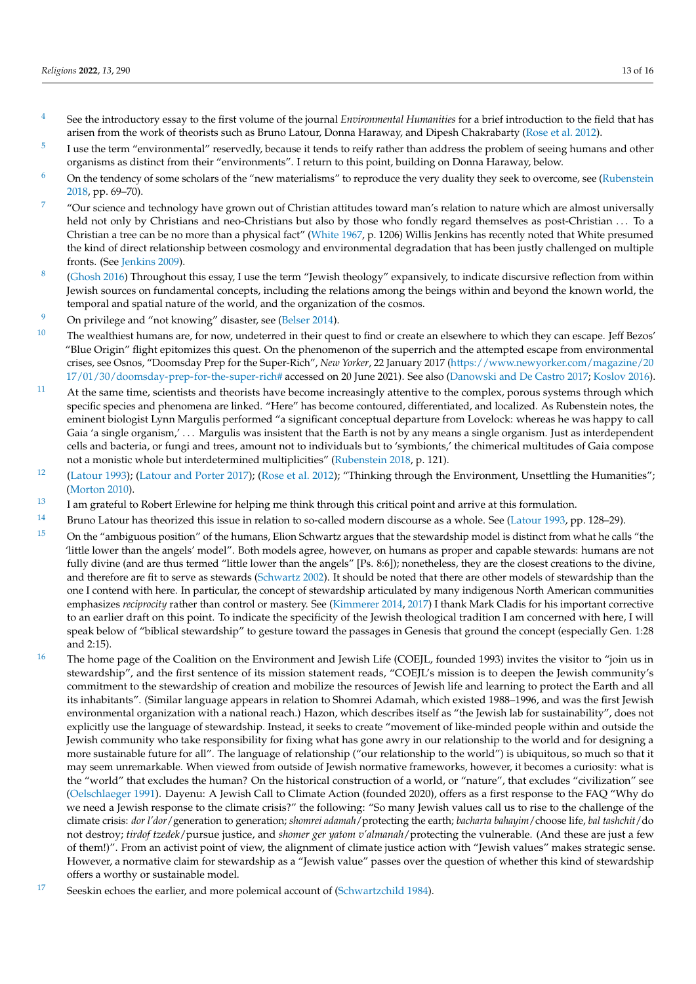- <span id="page-12-0"></span>[4](#page-1-0) See the introductory essay to the first volume of the journal *Environmental Humanities* for a brief introduction to the field that has arisen from the work of theorists such as Bruno Latour, Donna Haraway, and Dipesh Chakrabarty [\(Rose et al.](#page-15-14) [2012\)](#page-15-14).
- <span id="page-12-1"></span>[5](#page-1-1) I use the term "environmental" reservedly, because it tends to reify rather than address the problem of seeing humans and other organisms as distinct from their "environments". I return to this point, building on Donna Haraway, below.
- <span id="page-12-2"></span> $6$  On the tendency of some scholars of the "new materialisms" to reproduce the very duality they seek to overcome, see [\(Rubenstein](#page-15-1) [2018,](#page-15-1) pp. 69–70).
- <span id="page-12-3"></span>[7](#page-1-3) "Our science and technology have grown out of Christian attitudes toward man's relation to nature which are almost universally held not only by Christians and neo-Christians but also by those who fondly regard themselves as post-Christian . . . To a Christian a tree can be no more than a physical fact" [\(White](#page-15-0) [1967,](#page-15-0) p. 1206) Willis Jenkins has recently noted that White presumed the kind of direct relationship between cosmology and environmental degradation that has been justly challenged on multiple fronts. (See [Jenkins](#page-14-13) [2009\)](#page-14-13).
- <span id="page-12-4"></span>[8](#page-2-0) [\(Ghosh](#page-14-14) [2016\)](#page-14-14) Throughout this essay, I use the term "Jewish theology" expansively, to indicate discursive reflection from within Jewish sources on fundamental concepts, including the relations among the beings within and beyond the known world, the temporal and spatial nature of the world, and the organization of the cosmos.
- <span id="page-12-5"></span><sup>[9](#page-2-1)</sup> On privilege and "not knowing" disaster, see [\(Belser](#page-14-15) [2014\)](#page-14-15).
- <span id="page-12-6"></span> $10$  The wealthiest humans are, for now, undeterred in their quest to find or create an elsewhere to which they can escape. Jeff Bezos' "Blue Origin" flight epitomizes this quest. On the phenomenon of the superrich and the attempted escape from environmental crises, see Osnos, "Doomsday Prep for the Super-Rich", *New Yorker*, 22 January 2017 [\(https://www.newyorker.com/magazine/20](https://www.newyorker.com/magazine/2017/01/30/doomsday-prep-for-the-super-rich#) [17/01/30/doomsday-prep-for-the-super-rich#](https://www.newyorker.com/magazine/2017/01/30/doomsday-prep-for-the-super-rich#) accessed on 20 June 2021). See also [\(Danowski and De Castro](#page-14-16) [2017;](#page-14-16) [Koslov](#page-14-17) [2016\)](#page-14-17).
- <span id="page-12-7"></span> $11$  At the same time, scientists and theorists have become increasingly attentive to the complex, porous systems through which specific species and phenomena are linked. "Here" has become contoured, differentiated, and localized. As Rubenstein notes, the eminent biologist Lynn Margulis performed "a significant conceptual departure from Lovelock: whereas he was happy to call Gaia 'a single organism,' ... Margulis was insistent that the Earth is not by any means a single organism. Just as interdependent cells and bacteria, or fungi and trees, amount not to individuals but to 'symbionts,' the chimerical multitudes of Gaia compose not a monistic whole but interdetermined multiplicities" [\(Rubenstein](#page-15-1) [2018,](#page-15-1) p. 121).
- <span id="page-12-8"></span><sup>[12](#page-3-1)</sup> [\(Latour](#page-14-18) [1993\)](#page-14-18); [\(Latour and Porter](#page-14-19) [2017\)](#page-14-19); [\(Rose et al.](#page-15-14) [2012\)](#page-15-14); "Thinking through the Environment, Unsettling the Humanities"; [\(Morton](#page-14-20) [2010\)](#page-14-20).
- <span id="page-12-9"></span> $13$  I am grateful to Robert Erlewine for helping me think through this critical point and arrive at this formulation.
- <span id="page-12-10"></span><sup>[14](#page-3-3)</sup> Bruno Latour has theorized this issue in relation to so-called modern discourse as a whole. See [\(Latour](#page-14-18) [1993,](#page-14-18) pp. 128–29).
- <span id="page-12-11"></span><sup>[15](#page-4-0)</sup> On the "ambiguous position" of the humans, Elion Schwartz argues that the stewardship model is distinct from what he calls "the 'little lower than the angels' model". Both models agree, however, on humans as proper and capable stewards: humans are not fully divine (and are thus termed "little lower than the angels" [Ps. 8:6]); nonetheless, they are the closest creations to the divine, and therefore are fit to serve as stewards [\(Schwartz](#page-15-15) [2002\)](#page-15-15). It should be noted that there are other models of stewardship than the one I contend with here. In particular, the concept of stewardship articulated by many indigenous North American communities emphasizes *reciprocity* rather than control or mastery. See [\(Kimmerer](#page-14-21) [2014,](#page-14-21) [2017\)](#page-14-22) I thank Mark Cladis for his important corrective to an earlier draft on this point. To indicate the specificity of the Jewish theological tradition I am concerned with here, I will speak below of "biblical stewardship" to gesture toward the passages in Genesis that ground the concept (especially Gen. 1:28 and 2:15).
- <span id="page-12-12"></span><sup>[16](#page-4-1)</sup> The home page of the Coalition on the Environment and Jewish Life (COEJL, founded 1993) invites the visitor to "join us in stewardship", and the first sentence of its mission statement reads, "COEJL's mission is to deepen the Jewish community's commitment to the stewardship of creation and mobilize the resources of Jewish life and learning to protect the Earth and all its inhabitants". (Similar language appears in relation to Shomrei Adamah, which existed 1988–1996, and was the first Jewish environmental organization with a national reach.) Hazon, which describes itself as "the Jewish lab for sustainability", does not explicitly use the language of stewardship. Instead, it seeks to create "movement of like-minded people within and outside the Jewish community who take responsibility for fixing what has gone awry in our relationship to the world and for designing a more sustainable future for all". The language of relationship ("our relationship to the world") is ubiquitous, so much so that it may seem unremarkable. When viewed from outside of Jewish normative frameworks, however, it becomes a curiosity: what is the "world" that excludes the human? On the historical construction of a world, or "nature", that excludes "civilization" see [\(Oelschlaeger](#page-14-23) [1991\)](#page-14-23). Dayenu: A Jewish Call to Climate Action (founded 2020), offers as a first response to the FAQ "Why do we need a Jewish response to the climate crisis?" the following: "So many Jewish values call us to rise to the challenge of the climate crisis: *dor l'dor*/generation to generation; *shomrei adamah*/protecting the earth; *bacharta bahayim*/choose life, *bal tashchit*/do not destroy; *tirdof tzedek*/pursue justice, and *shomer ger yatom v'almanah*/protecting the vulnerable. (And these are just a few of them!)". From an activist point of view, the alignment of climate justice action with "Jewish values" makes strategic sense. However, a normative claim for stewardship as a "Jewish value" passes over the question of whether this kind of stewardship offers a worthy or sustainable model.
- <span id="page-12-13"></span><sup>[17](#page-4-2)</sup> Seeskin echoes the earlier, and more polemical account of [\(Schwartzchild](#page-15-16) [1984\)](#page-15-16).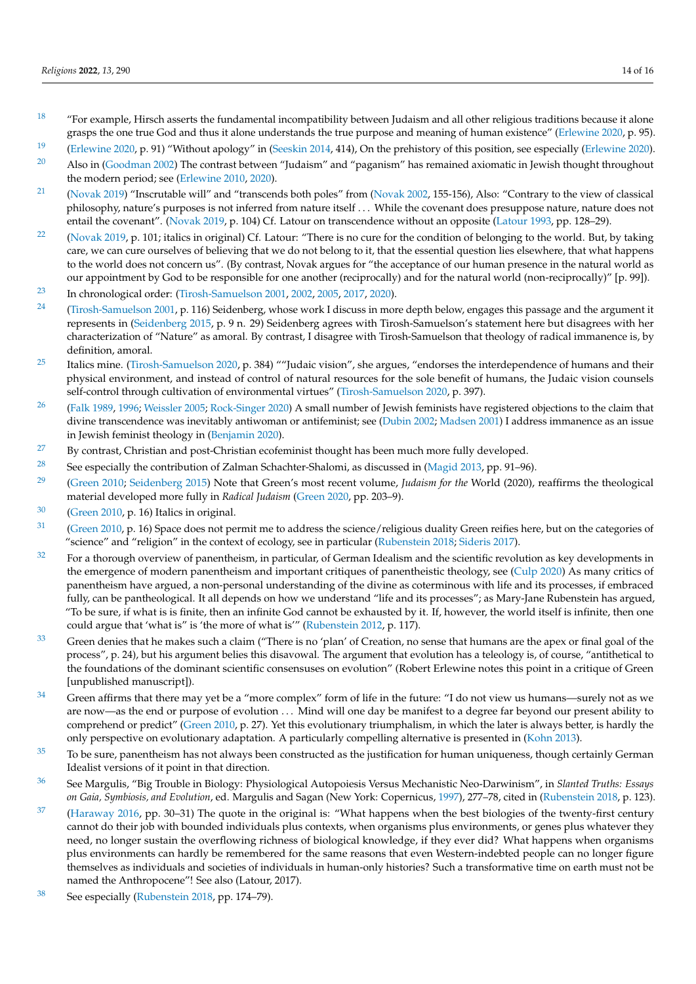- <span id="page-13-0"></span> $18$  "For example, Hirsch asserts the fundamental incompatibility between Judaism and all other religious traditions because it alone grasps the one true God and thus it alone understands the true purpose and meaning of human existence" [\(Erlewine](#page-14-1) [2020,](#page-14-1) p. 95).
- <span id="page-13-1"></span><sup>[19](#page-5-1)</sup> [\(Erlewine](#page-14-1) [2020,](#page-14-1) p. 91) "Without apology" in [\(Seeskin](#page-15-2) [2014,](#page-15-2) 414), On the prehistory of this position, see especially (Erlewine [2020\)](#page-14-1).
- <span id="page-13-2"></span><sup>[20](#page-5-2)</sup> Also in [\(Goodman](#page-14-2) [2002\)](#page-14-2) The contrast between "Judaism" and "paganism" has remained axiomatic in Jewish thought throughout the modern period; see [\(Erlewine](#page-14-24) [2010,](#page-14-24) [2020\)](#page-14-1).
- <span id="page-13-3"></span><sup>[21](#page-5-3)</sup> [\(Novak](#page-14-25) [2019\)](#page-14-3) "Inscrutable will" and "transcends both poles" from (Novak [2002,](#page-14-25) 155-156), Also: "Contrary to the view of classical philosophy, nature's purposes is not inferred from nature itself . . . While the covenant does presuppose nature, nature does not entail the covenant". [\(Novak](#page-14-3) [2019,](#page-14-3) p. 104) Cf. Latour on transcendence without an opposite [\(Latour](#page-14-18) [1993,](#page-14-18) pp. 128–29).
- <span id="page-13-4"></span><sup>[22](#page-5-4)</sup> [\(Novak](#page-14-3) [2019,](#page-14-3) p. 101; italics in original) Cf. Latour: "There is no cure for the condition of belonging to the world. But, by taking care, we can cure ourselves of believing that we do not belong to it, that the essential question lies elsewhere, that what happens to the world does not concern us". (By contrast, Novak argues for "the acceptance of our human presence in the natural world as our appointment by God to be responsible for one another (reciprocally) and for the natural world (non-reciprocally)" [p. 99]).
- <span id="page-13-5"></span>[23](#page-6-0) In chronological order: [\(Tirosh-Samuelson](#page-15-17) [2001,](#page-15-17) [2002,](#page-15-18) [2005,](#page-15-19) [2017,](#page-15-20) [2020\)](#page-15-4).
- <span id="page-13-6"></span><sup>[24](#page-6-1)</sup> [\(Tirosh-Samuelson](#page-15-17) [2001,](#page-15-17) p. 116) Seidenberg, whose work I discuss in more depth below, engages this passage and the argument it represents in [\(Seidenberg](#page-15-9) [2015,](#page-15-9) p. 9 n. 29) Seidenberg agrees with Tirosh-Samuelson's statement here but disagrees with her characterization of "Nature" as amoral. By contrast, I disagree with Tirosh-Samuelson that theology of radical immanence is, by definition, amoral.
- <span id="page-13-7"></span><sup>[25](#page-6-2)</sup> Italics mine. [\(Tirosh-Samuelson](#page-15-4) [2020,](#page-15-4) p. 384) ""Judaic vision", she argues, "endorses the interdependence of humans and their physical environment, and instead of control of natural resources for the sole benefit of humans, the Judaic vision counsels self-control through cultivation of environmental virtues" [\(Tirosh-Samuelson](#page-15-4) [2020,](#page-15-4) p. 397).
- <span id="page-13-8"></span><sup>[26](#page-7-0)</sup> [\(Falk](#page-14-26) [1989,](#page-14-26) [1996;](#page-14-27) [Weissler](#page-15-21) [2005;](#page-15-21) [Rock-Singer](#page-15-22) [2020\)](#page-15-22) A small number of Jewish feminists have registered objections to the claim that divine transcendence was inevitably antiwoman or antifeminist; see [\(Dubin](#page-14-28) [2002;](#page-14-28) [Madsen](#page-14-29) [2001\)](#page-14-29) I address immanence as an issue in Jewish feminist theology in [\(Benjamin](#page-14-5) [2020\)](#page-14-5).
- <span id="page-13-9"></span> $27$  By contrast, Christian and post-Christian ecofeminist thought has been much more fully developed.
- <span id="page-13-10"></span><sup>[28](#page-7-2)</sup> See especially the contribution of Zalman Schachter-Shalomi, as discussed in [\(Magid](#page-14-30) [2013,](#page-14-30) pp. 91–96).
- <span id="page-13-11"></span>[29](#page-7-3) [\(Green](#page-14-6) [2010;](#page-14-6) [Seidenberg](#page-15-9) [2015\)](#page-15-9) Note that Green's most recent volume, *Judaism for the* World (2020), reaffirms the theological material developed more fully in *Radical Judaism* [\(Green](#page-14-31) [2020,](#page-14-31) pp. 203–9).
- <span id="page-13-12"></span><sup>[30](#page-7-4)</sup> [\(Green](#page-14-6) [2010,](#page-14-6) p. 16) Italics in original.
- <span id="page-13-13"></span><sup>[31](#page-7-5)</sup> [\(Green](#page-14-6) [2010,](#page-14-6) p. 16) Space does not permit me to address the science/religious duality Green reifies here, but on the categories of "science" and "religion" in the context of ecology, see in particular [\(Rubenstein](#page-15-1) [2018;](#page-15-1) [Sideris](#page-15-23) [2017\)](#page-15-23).
- <span id="page-13-14"></span> $32$  For a thorough overview of panentheism, in particular, of German Idealism and the scientific revolution as key developments in the emergence of modern panentheism and important critiques of panentheistic theology, see [\(Culp](#page-14-32) [2020\)](#page-14-32) As many critics of panentheism have argued, a non-personal understanding of the divine as coterminous with life and its processes, if embraced fully, can be pantheological. It all depends on how we understand "life and its processes"; as Mary-Jane Rubenstein has argued, "To be sure, if what is is finite, then an infinite God cannot be exhausted by it. If, however, the world itself is infinite, then one could argue that 'what is" is 'the more of what is'" [\(Rubenstein](#page-15-24) [2012,](#page-15-24) p. 117).
- <span id="page-13-15"></span><sup>[33](#page-8-0)</sup> Green denies that he makes such a claim ("There is no 'plan' of Creation, no sense that humans are the apex or final goal of the process", p. 24), but his argument belies this disavowal. The argument that evolution has a teleology is, of course, "antithetical to the foundations of the dominant scientific consensuses on evolution" (Robert Erlewine notes this point in a critique of Green [unpublished manuscript]).
- <span id="page-13-16"></span> $34$  Green affirms that there may yet be a "more complex" form of life in the future: "I do not view us humans—surely not as we are now—as the end or purpose of evolution . . . Mind will one day be manifest to a degree far beyond our present ability to comprehend or predict" [\(Green](#page-14-6) [2010,](#page-14-6) p. 27). Yet this evolutionary triumphalism, in which the later is always better, is hardly the only perspective on evolutionary adaptation. A particularly compelling alternative is presented in [\(Kohn](#page-14-33) [2013\)](#page-14-33).
- <span id="page-13-17"></span> $35$  To be sure, panentheism has not always been constructed as the justification for human uniqueness, though certainly German Idealist versions of it point in that direction.
- <span id="page-13-18"></span>[36](#page-8-3) See Margulis, "Big Trouble in Biology: Physiological Autopoiesis Versus Mechanistic Neo-Darwinism", in *Slanted Truths: Essays on Gaia, Symbiosis, and Evolution*, ed. Margulis and Sagan (New York: Copernicus, [1997\)](#page-15-3), 277–78, cited in [\(Rubenstein](#page-15-1) [2018,](#page-15-1) p. 123).
- <span id="page-13-19"></span> $37$  [\(Haraway](#page-14-34) [2016,](#page-14-34) pp. 30–31) The quote in the original is: "What happens when the best biologies of the twenty-first century cannot do their job with bounded individuals plus contexts, when organisms plus environments, or genes plus whatever they need, no longer sustain the overflowing richness of biological knowledge, if they ever did? What happens when organisms plus environments can hardly be remembered for the same reasons that even Western-indebted people can no longer figure themselves as individuals and societies of individuals in human-only histories? Such a transformative time on earth must not be named the Anthropocene"! See also (Latour, 2017).
- <span id="page-13-20"></span>[38](#page-9-1) See especially [\(Rubenstein](#page-15-1) [2018,](#page-15-1) pp. 174–79).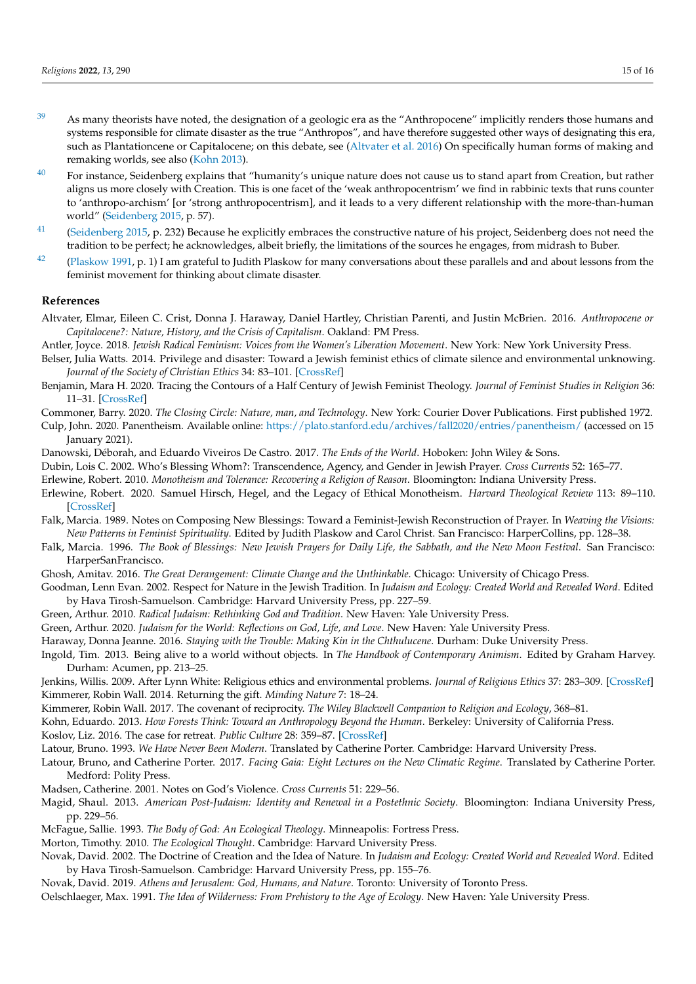- <span id="page-14-8"></span><sup>[39](#page-9-2)</sup> As many theorists have noted, the designation of a geologic era as the "Anthropocene" implicitly renders those humans and systems responsible for climate disaster as the true "Anthropos", and have therefore suggested other ways of designating this era, such as Plantationcene or Capitalocene; on this debate, see [\(Altvater et al.](#page-14-35) [2016\)](#page-14-35) On specifically human forms of making and remaking worlds, see also [\(Kohn](#page-14-33) [2013\)](#page-14-33).
- <span id="page-14-9"></span> $40$  For instance, Seidenberg explains that "humanity's unique nature does not cause us to stand apart from Creation, but rather aligns us more closely with Creation. This is one facet of the 'weak anthropocentrism' we find in rabbinic texts that runs counter to 'anthropo-archism' [or 'strong anthropocentrism], and it leads to a very different relationship with the more-than-human world" [\(Seidenberg](#page-15-9) [2015,](#page-15-9) p. 57).
- <span id="page-14-10"></span> $41$  [\(Seidenberg](#page-15-9) [2015,](#page-15-9) p. 232) Because he explicitly embraces the constructive nature of his project, Seidenberg does not need the tradition to be perfect; he acknowledges, albeit briefly, the limitations of the sources he engages, from midrash to Buber.
- <span id="page-14-12"></span><sup>[42](#page-11-3)</sup> [\(Plaskow](#page-15-25) [1991,](#page-15-25) p. 1) I am grateful to Judith Plaskow for many conversations about these parallels and and about lessons from the feminist movement for thinking about climate disaster.

## **References**

- <span id="page-14-35"></span>Altvater, Elmar, Eileen C. Crist, Donna J. Haraway, Daniel Hartley, Christian Parenti, and Justin McBrien. 2016. *Anthropocene or Capitalocene?: Nature, History, and the Crisis of Capitalism*. Oakland: PM Press.
- <span id="page-14-11"></span>Antler, Joyce. 2018. *Jewish Radical Feminism: Voices from the Women's Liberation Movement*. New York: New York University Press.
- <span id="page-14-15"></span>Belser, Julia Watts. 2014. Privilege and disaster: Toward a Jewish feminist ethics of climate silence and environmental unknowing. *Journal of the Society of Christian Ethics* 34: 83–101. [\[CrossRef\]](http://doi.org/10.1353/sce.2014.0017)
- <span id="page-14-5"></span>Benjamin, Mara H. 2020. Tracing the Contours of a Half Century of Jewish Feminist Theology. *Journal of Feminist Studies in Religion* 36: 11–31. [\[CrossRef\]](http://doi.org/10.2979/jfemistudreli.36.1.04)
- <span id="page-14-0"></span>Commoner, Barry. 2020. *The Closing Circle: Nature, man, and Technology*. New York: Courier Dover Publications. First published 1972.
- <span id="page-14-32"></span>Culp, John. 2020. Panentheism. Available online: <https://plato.stanford.edu/archives/fall2020/entries/panentheism/> (accessed on 15 January 2021).
- <span id="page-14-16"></span>Danowski, Déborah, and Eduardo Viveiros De Castro. 2017. *The Ends of the World*. Hoboken: John Wiley & Sons.
- <span id="page-14-28"></span>Dubin, Lois C. 2002. Who's Blessing Whom?: Transcendence, Agency, and Gender in Jewish Prayer. *Cross Currents* 52: 165–77.
- <span id="page-14-24"></span><span id="page-14-1"></span>Erlewine, Robert. 2010. *Monotheism and Tolerance: Recovering a Religion of Reason*. Bloomington: Indiana University Press.
- Erlewine, Robert. 2020. Samuel Hirsch, Hegel, and the Legacy of Ethical Monotheism. *Harvard Theological Review* 113: 89–110. [\[CrossRef\]](http://doi.org/10.1017/S0017816019000361)
- <span id="page-14-26"></span>Falk, Marcia. 1989. Notes on Composing New Blessings: Toward a Feminist-Jewish Reconstruction of Prayer. In *Weaving the Visions: New Patterns in Feminist Spirituality*. Edited by Judith Plaskow and Carol Christ. San Francisco: HarperCollins, pp. 128–38.
- <span id="page-14-27"></span>Falk, Marcia. 1996. *The Book of Blessings: New Jewish Prayers for Daily Life, the Sabbath, and the New Moon Festival*. San Francisco: HarperSanFrancisco.
- <span id="page-14-14"></span>Ghosh, Amitav. 2016. *The Great Derangement: Climate Change and the Unthinkable*. Chicago: University of Chicago Press.
- <span id="page-14-2"></span>Goodman, Lenn Evan. 2002. Respect for Nature in the Jewish Tradition. In *Judaism and Ecology: Created World and Revealed Word*. Edited by Hava Tirosh-Samuelson. Cambridge: Harvard University Press, pp. 227–59.
- <span id="page-14-6"></span>Green, Arthur. 2010. *Radical Judaism: Rethinking God and Tradition*. New Haven: Yale University Press.
- <span id="page-14-31"></span>Green, Arthur. 2020. *Judaism for the World: Reflections on God, Life, and Love*. New Haven: Yale University Press.
- <span id="page-14-34"></span><span id="page-14-7"></span>Haraway, Donna Jeanne. 2016. *Staying with the Trouble: Making Kin in the Chthulucene*. Durham: Duke University Press.
- Ingold, Tim. 2013. Being alive to a world without objects. In *The Handbook of Contemporary Animism*. Edited by Graham Harvey. Durham: Acumen, pp. 213–25.
- <span id="page-14-21"></span><span id="page-14-13"></span>Jenkins, Willis. 2009. After Lynn White: Religious ethics and environmental problems. *Journal of Religious Ethics* 37: 283–309. [\[CrossRef\]](http://doi.org/10.1111/j.1467-9795.2009.00387.x) Kimmerer, Robin Wall. 2014. Returning the gift. *Minding Nature* 7: 18–24.
- <span id="page-14-22"></span>Kimmerer, Robin Wall. 2017. The covenant of reciprocity. *The Wiley Blackwell Companion to Religion and Ecology*, 368–81.
- <span id="page-14-33"></span>Kohn, Eduardo. 2013. *How Forests Think: Toward an Anthropology Beyond the Human*. Berkeley: University of California Press.
- <span id="page-14-17"></span>Koslov, Liz. 2016. The case for retreat. *Public Culture* 28: 359–87. [\[CrossRef\]](http://doi.org/10.1215/08992363-3427487)
- <span id="page-14-18"></span>Latour, Bruno. 1993. *We Have Never Been Modern*. Translated by Catherine Porter. Cambridge: Harvard University Press.
- <span id="page-14-19"></span>Latour, Bruno, and Catherine Porter. 2017. *Facing Gaia: Eight Lectures on the New Climatic Regime*. Translated by Catherine Porter. Medford: Polity Press.
- <span id="page-14-29"></span>Madsen, Catherine. 2001. Notes on God's Violence. *Cross Currents* 51: 229–56.
- <span id="page-14-30"></span>Magid, Shaul. 2013. *American Post-Judaism: Identity and Renewal in a Postethnic Society*. Bloomington: Indiana University Press, pp. 229–56.
- <span id="page-14-20"></span><span id="page-14-4"></span>McFague, Sallie. 1993. *The Body of God: An Ecological Theology*. Minneapolis: Fortress Press.
- Morton, Timothy. 2010. *The Ecological Thought*. Cambridge: Harvard University Press.
- <span id="page-14-25"></span>Novak, David. 2002. The Doctrine of Creation and the Idea of Nature. In *Judaism and Ecology: Created World and Revealed Word*. Edited by Hava Tirosh-Samuelson. Cambridge: Harvard University Press, pp. 155–76.
- <span id="page-14-3"></span>Novak, David. 2019. *Athens and Jerusalem: God, Humans, and Nature*. Toronto: University of Toronto Press.
- <span id="page-14-23"></span>Oelschlaeger, Max. 1991. *The Idea of Wilderness: From Prehistory to the Age of Ecology*. New Haven: Yale University Press.